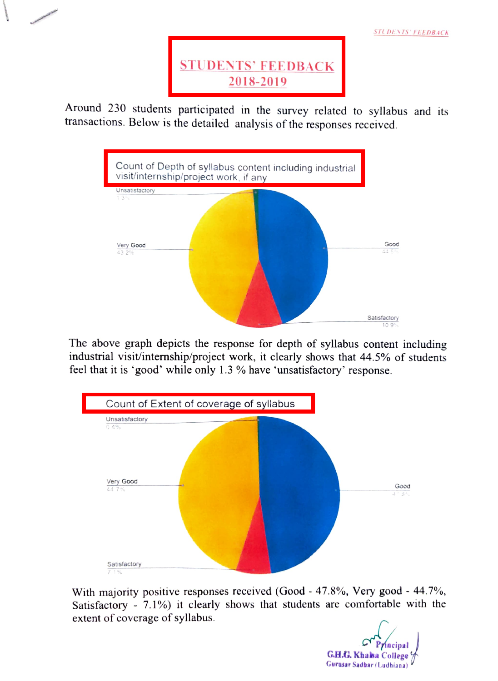

STUDENTS' FEEDBACK

Around 230 students participated in the survey related to syllabus and its transactions. BeloW is the detailed analysis of the responses received.



The above graph depicts the response for depth of syllabus content including industrial visit/internship/project work, it clearly shows that 44.5% of students feel that it is 'good' while only 1.3 % have 'unsatisfactory' response.



With majority positive responses received (Good - 47.8%, Very good - 44.7%, Satisfactory - 7.1%) it clearly shows that students are comfortable with the extent of coverage of syllabus.

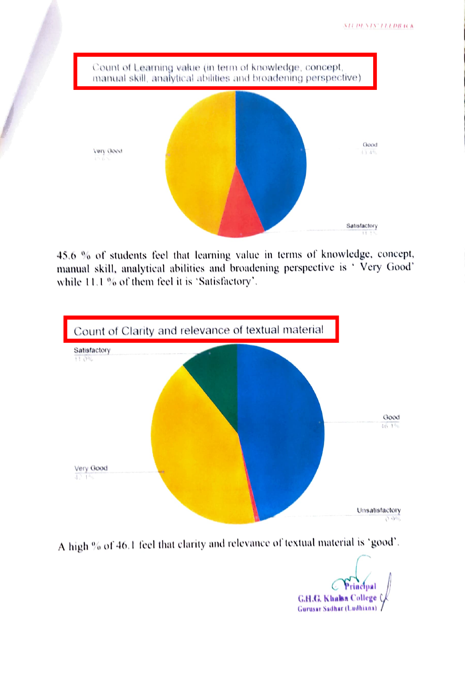

45.6 % ot students fecl that learning value in terns of knowledge, concept, manual skill, analytical abilities and broadening perspective is 'Very Good' while  $11.1$  % of them feel it is 'Satisfactory'.



A high % of 46.1 feel that clarity and relevance of textual material is 'good'.

C Priacipal<br>G.H.G. Khalaa College Gurusar Sadhar (Ludhiana)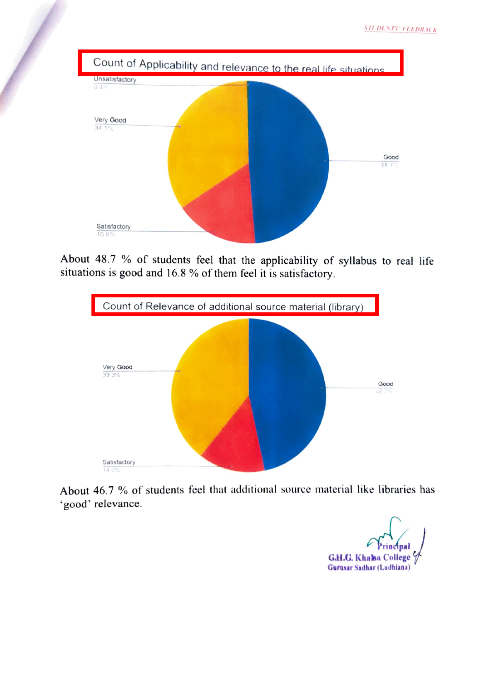

About 48.7 % of students feel that the applicability of syllabus to real life situations is good and 16.8 % of them feel it is satisfactory.



About 46.7 % of students feel that additional source material like libraries has good' relevance.

G.H.C. Khalsa College Gurasar Sadhar (Ludhiana)